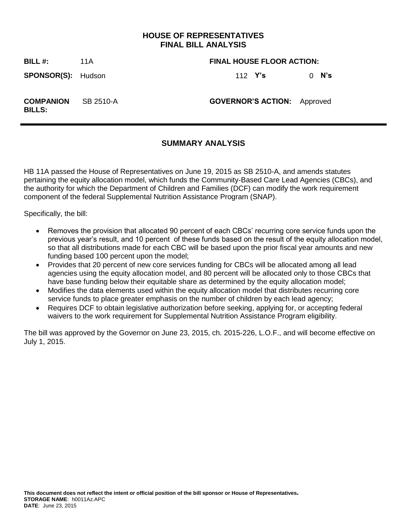## **HOUSE OF REPRESENTATIVES FINAL BILL ANALYSIS**

#### **BILL #:** 11A **FINAL HOUSE FLOOR ACTION:**

**SPONSOR(S):** Hudson 112 **Y's** 0 **N's**

**COMPANION BILLS:**

SB 2510-A **GOVERNOR'S ACTION:** Approved

## **SUMMARY ANALYSIS**

HB 11A passed the House of Representatives on June 19, 2015 as SB 2510-A, and amends statutes pertaining the equity allocation model, which funds the Community-Based Care Lead Agencies (CBCs), and the authority for which the Department of Children and Families (DCF) can modify the work requirement component of the federal Supplemental Nutrition Assistance Program (SNAP).

Specifically, the bill:

- Removes the provision that allocated 90 percent of each CBCs' recurring core service funds upon the previous year's result, and 10 percent of these funds based on the result of the equity allocation model, so that all distributions made for each CBC will be based upon the prior fiscal year amounts and new funding based 100 percent upon the model;
- Provides that 20 percent of new core services funding for CBCs will be allocated among all lead agencies using the equity allocation model, and 80 percent will be allocated only to those CBCs that have base funding below their equitable share as determined by the equity allocation model;
- Modifies the data elements used within the equity allocation model that distributes recurring core service funds to place greater emphasis on the number of children by each lead agency;
- Requires DCF to obtain legislative authorization before seeking, applying for, or accepting federal waivers to the work requirement for Supplemental Nutrition Assistance Program eligibility.

The bill was approved by the Governor on June 23, 2015, ch. 2015-226, L.O.F., and will become effective on July 1, 2015.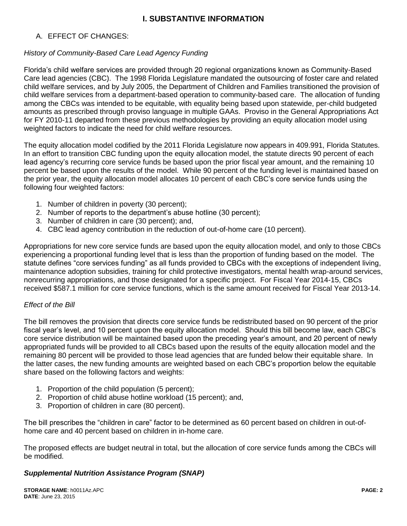# **I. SUBSTANTIVE INFORMATION**

### A. EFFECT OF CHANGES:

### *History of Community-Based Care Lead Agency Funding*

Florida's child welfare services are provided through 20 regional organizations known as Community-Based Care lead agencies (CBC). The 1998 Florida Legislature mandated the outsourcing of foster care and related child welfare services, and by July 2005, the Department of Children and Families transitioned the provision of child welfare services from a department-based operation to community-based care. The allocation of funding among the CBCs was intended to be equitable, with equality being based upon statewide, per-child budgeted amounts as prescribed through proviso language in multiple GAAs. Proviso in the General Appropriations Act for FY 2010-11 departed from these previous methodologies by providing an equity allocation model using weighted factors to indicate the need for child welfare resources.

The equity allocation model codified by the 2011 Florida Legislature now appears in 409.991, Florida Statutes. In an effort to transition CBC funding upon the equity allocation model, the statute directs 90 percent of each lead agency's recurring core service funds be based upon the prior fiscal year amount, and the remaining 10 percent be based upon the results of the model. While 90 percent of the funding level is maintained based on the prior year, the equity allocation model allocates 10 percent of each CBC's core service funds using the following four weighted factors:

- 1. Number of children in poverty (30 percent);
- 2. Number of reports to the department's abuse hotline (30 percent);
- 3. Number of children in care (30 percent); and,
- 4. CBC lead agency contribution in the reduction of out-of-home care (10 percent).

Appropriations for new core service funds are based upon the equity allocation model, and only to those CBCs experiencing a proportional funding level that is less than the proportion of funding based on the model. The statute defines "core services funding" as all funds provided to CBCs with the exceptions of independent living, maintenance adoption subsidies, training for child protective investigators, mental health wrap-around services, nonrecurring appropriations, and those designated for a specific project. For Fiscal Year 2014-15, CBCs received \$587.1 million for core service functions, which is the same amount received for Fiscal Year 2013-14.

### *Effect of the Bill*

The bill removes the provision that directs core service funds be redistributed based on 90 percent of the prior fiscal year's level, and 10 percent upon the equity allocation model. Should this bill become law, each CBC's core service distribution will be maintained based upon the preceding year's amount, and 20 percent of newly appropriated funds will be provided to all CBCs based upon the results of the equity allocation model and the remaining 80 percent will be provided to those lead agencies that are funded below their equitable share. In the latter cases, the new funding amounts are weighted based on each CBC's proportion below the equitable share based on the following factors and weights:

- 1. Proportion of the child population (5 percent);
- 2. Proportion of child abuse hotline workload (15 percent); and,
- 3. Proportion of children in care (80 percent).

The bill prescribes the "children in care" factor to be determined as 60 percent based on children in out-ofhome care and 40 percent based on children in in-home care.

The proposed effects are budget neutral in total, but the allocation of core service funds among the CBCs will be modified.

### *Supplemental Nutrition Assistance Program (SNAP)*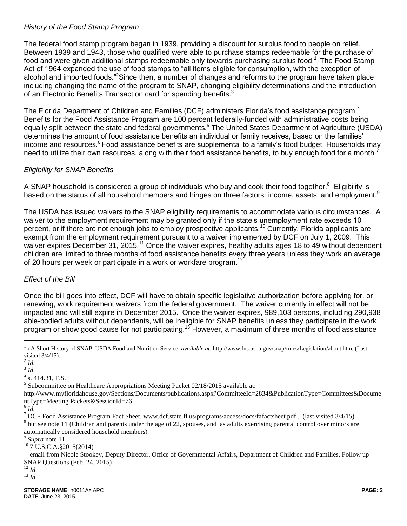#### *History of the Food Stamp Program*

The federal food stamp program began in 1939, providing a discount for surplus food to people on relief. Between 1939 and 1943, those who qualified were able to purchase stamps redeemable for the purchase of food and were given additional stamps redeemable only towards purchasing surplus food.<sup>1</sup> The Food Stamp Act of 1964 expanded the use of food stamps to "all items eligible for consumption, with the exception of alcohol and imported foods."<sup>2</sup>Since then, a number of changes and reforms to the program have taken place including changing the name of the program to SNAP, changing eligibility determinations and the introduction of an Electronic Benefits Transaction card for spending benefits.<sup>3</sup>

The Florida Department of Children and Families (DCF) administers Florida's food assistance program.<sup>4</sup> Benefits for the Food Assistance Program are 100 percent federally-funded with administrative costs being equally split between the state and federal governments.<sup>5</sup> The United States Department of Agriculture (USDA) determines the amount of food assistance benefits an individual or family receives, based on the families' income and resources.<sup>6</sup> Food assistance benefits are supplemental to a family's food budget. Households may need to utilize their own resources, along with their food assistance benefits, to buy enough food for a month.<sup>7</sup>

### *Eligibility for SNAP Benefits*

A SNAP household is considered a group of individuals who buy and cook their food together.<sup>8</sup> Eligibility is based on the status of all household members and hinges on three factors: income, assets, and employment.<sup>9</sup>

The USDA has issued waivers to the SNAP eligibility requirements to accommodate various circumstances. A waiver to the employment requirement may be granted only if the state's unemployment rate exceeds 10 percent, or if there are not enough jobs to employ prospective applicants.<sup>10</sup> Currently, Florida applicants are exempt from the employment requirement pursuant to a waiver implemented by DCF on July 1, 2009. This waiver expires December 31, 2015.<sup>11</sup> Once the waiver expires, healthy adults ages 18 to 49 without dependent children are limited to three months of food assistance benefits every three years unless they work an average of 20 hours per week or participate in a work or workfare program.<sup>12</sup>

### *Effect of the Bill*

Once the bill goes into effect, DCF will have to obtain specific legislative authorization before applying for, or renewing, work requirement waivers from the federal government. The waiver currently in effect will not be impacted and will still expire in December 2015. Once the waiver expires, 989,103 persons, including 290,938 able-bodied adults without dependents, will be ineligible for SNAP benefits unless they participate in the work program or show good cause for not participating.<sup>13</sup> However, a maximum of three months of food assistance

 $\overline{a}$ 

6 *Id.*

automatically considered household members)

<sup>10</sup> 7 U.S.C.A.§2015(2014)

<sup>12</sup> *Id.*

<sup>13</sup> *Id*.

<sup>&</sup>lt;sup>1</sup> 1 A Short History of SNAP, USDA Food and Nutrition Service, *available at*: http://www.fns.usda.gov/snap/rules/Legislation/about.htm. (Last visited 3/4/15).

<sup>2</sup> *Id.*

<sup>3</sup> *Id.*

 $4$  s. 414.31, F.S.

 $<sup>5</sup>$  Subcommittee on Healthcare Appropriations Meeting Packet 02/18/2015 available at:</sup>

http://www.myfloridahouse.gov/Sections/Documents/publications.aspx?CommitteeId=2834&PublicationType=Committees&Docume ntType=Meeting Packets&SessionId=76

<sup>&</sup>lt;sup>7</sup> DCF Food Assistance Program Fact Sheet, www.dcf.state.fl.us/programs/access/docs/fafactsheet.pdf . (last visited 3/4/15)  $8$  but see note 11 (Children and parents under the age of 22, spouses, and as adults exercising parental control over minors are

<sup>9</sup> *Supra* note 11.

<sup>&</sup>lt;sup>11</sup> email from Nicole Stookey, Deputy Director, Office of Governmental Affairs, Department of Children and Families, Follow up SNAP Questions (Feb. 24, 2015)